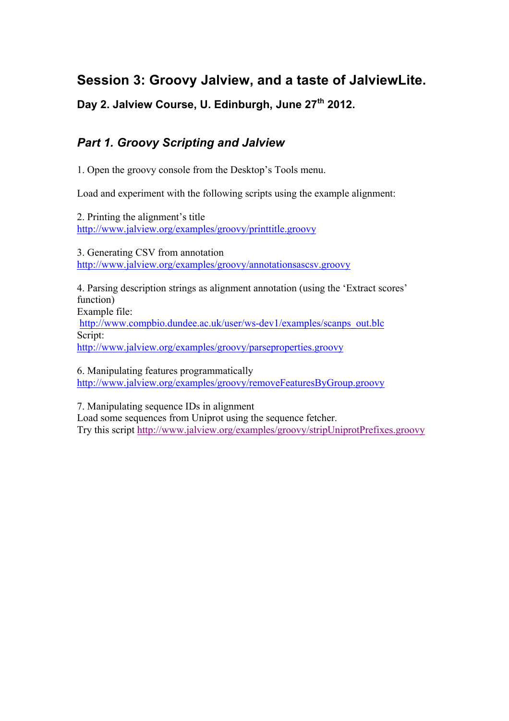## **Session 3: Groovy Jalview, and a taste of JalviewLite.**

**Day 2. Jalview Course, U. Edinburgh, June 27th 2012.**

## *Part 1. Groovy Scripting and Jalview*

1. Open the groovy console from the Desktop's Tools menu.

Load and experiment with the following scripts using the example alignment:

2. Printing the alignment's title http://www.jalview.org/examples/groovy/printtitle.groovy

3. Generating CSV from annotation http://www.jalview.org/examples/groovy/annotationsascsv.groovy

4. Parsing description strings as alignment annotation (using the 'Extract scores' function) Example file:

http://www.compbio.dundee.ac.uk/user/ws-dev1/examples/scanps\_out.blc Script: http://www.jalview.org/examples/groovy/parseproperties.groovy

6. Manipulating features programmatically http://www.jalview.org/examples/groovy/removeFeaturesByGroup.groovy

7. Manipulating sequence IDs in alignment

Load some sequences from Uniprot using the sequence fetcher. Try this script http://www.jalview.org/examples/groovy/stripUniprotPrefixes.groovy